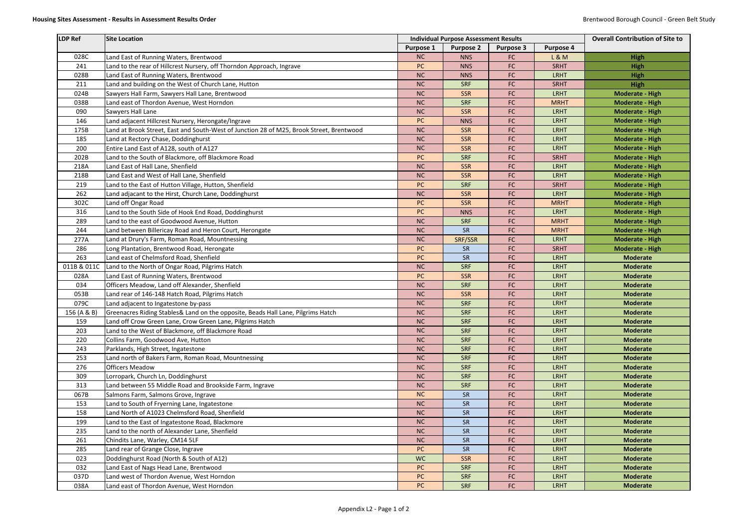| LDP Ref     | Site Location                                                                            |                  | <b>Individual Purpose Assessment Results</b> | <b>Overall Contribution of Site to</b> |                  |                        |
|-------------|------------------------------------------------------------------------------------------|------------------|----------------------------------------------|----------------------------------------|------------------|------------------------|
|             |                                                                                          | <b>Purpose 1</b> | <b>Purpose 2</b>                             | <b>Purpose 3</b>                       | <b>Purpose 4</b> |                        |
| 028C        | Land East of Running Waters, Brentwood                                                   | <b>NC</b>        | <b>NNS</b>                                   | FC                                     | <b>L&amp;M</b>   | <b>High</b>            |
| 241         | Land to the rear of Hillcrest Nursery, off Thorndon Approach, Ingrave                    | <b>PC</b>        | <b>NNS</b>                                   | FC                                     | <b>SRHT</b>      | <b>High</b>            |
| 028B        | Land East of Running Waters, Brentwood                                                   | <b>NC</b>        | <b>NNS</b>                                   | FC                                     | <b>LRHT</b>      | <b>High</b>            |
| 211         | Land and building on the West of Church Lane, Hutton                                     | <b>NC</b>        | <b>SRF</b>                                   | FC                                     | <b>SRHT</b>      | High                   |
| 024B        | Sawyers Hall Farm, Sawyers Hall Lane, Brentwood                                          | <b>NC</b>        | <b>SSR</b>                                   | FC                                     | <b>LRHT</b>      | <b>Moderate - High</b> |
| 038B        | Land east of Thordon Avenue, West Horndon                                                | NC               | <b>SRF</b>                                   | FC                                     | <b>MRHT</b>      | <b>Moderate - High</b> |
| 090         | Sawyers Hall Lane                                                                        | <b>NC</b>        | <b>SSR</b>                                   | FC                                     | <b>LRHT</b>      | <b>Moderate - High</b> |
| 146         | Land adjacent Hillcrest Nursery, Herongate/Ingrave                                       | PC               | <b>NNS</b>                                   | FC                                     | <b>LRHT</b>      | <b>Moderate - High</b> |
| 175B        | Land at Brook Street, East and South-West of Junction 28 of M25, Brook Street, Brentwood | <b>NC</b>        | <b>SSR</b>                                   | FC                                     | <b>LRHT</b>      | <b>Moderate - High</b> |
| 185         | Land at Rectory Chase, Doddinghurst                                                      | NC               | <b>SSR</b>                                   | FC                                     | <b>LRHT</b>      | <b>Moderate - High</b> |
| 200         | Entire Land East of A128, south of A127                                                  | NC               | <b>SSR</b>                                   | FC                                     | <b>LRHT</b>      | <b>Moderate - High</b> |
| 202B        | Land to the South of Blackmore, off Blackmore Road                                       | PC               | <b>SRF</b>                                   | FC                                     | <b>SRHT</b>      | <b>Moderate - High</b> |
| 218A        | Land East of Hall Lane, Shenfield                                                        | <b>NC</b>        | <b>SSR</b>                                   | FC                                     | <b>LRHT</b>      | <b>Moderate - High</b> |
| 218B        | Land East and West of Hall Lane, Shenfield                                               | <b>NC</b>        | <b>SSR</b>                                   | FC                                     | <b>LRHT</b>      | <b>Moderate - High</b> |
| 219         | Land to the East of Hutton Village, Hutton, Shenfield                                    | PC               | <b>SRF</b>                                   | FC                                     | <b>SRHT</b>      | <b>Moderate - High</b> |
| 262         | Land adjacant to the Hirst, Church Lane, Doddinghurst                                    | <b>NC</b>        | <b>SSR</b>                                   | FC                                     | <b>LRHT</b>      | <b>Moderate - High</b> |
| 302C        | Land off Ongar Road                                                                      | <b>PC</b>        | <b>SSR</b>                                   | FC                                     | <b>MRHT</b>      | <b>Moderate - High</b> |
| 316         | Land to the South Side of Hook End Road, Doddinghurst                                    | <b>PC</b>        | <b>NNS</b>                                   | FC                                     | <b>LRHT</b>      | <b>Moderate - High</b> |
| 289         | Land to the east of Goodwood Avenue, Hutton                                              | <b>NC</b>        | <b>SRF</b>                                   | FC                                     | <b>MRHT</b>      | <b>Moderate - High</b> |
| 244         | Land between Billericay Road and Heron Court, Herongate                                  | NC               | SR                                           | FC                                     | <b>MRHT</b>      | <b>Moderate - High</b> |
| 277A        | Land at Drury's Farm, Roman Road, Mountnessing                                           | <b>NC</b>        | SRF/SSR                                      | FC                                     | <b>LRHT</b>      | <b>Moderate - High</b> |
| 286         | Long Plantation, Brentwood Road, Herongate                                               | <b>PC</b>        | SR                                           | FC                                     | <b>SRHT</b>      | <b>Moderate - High</b> |
| 263         | Land east of Chelmsford Road, Shenfield                                                  | <b>PC</b>        | SR                                           | FC                                     | <b>LRHT</b>      | <b>Moderate</b>        |
| 011B & 011C | Land to the North of Ongar Road, Pilgrims Hatch                                          | <b>NC</b>        | <b>SRF</b>                                   | FC                                     | <b>LRHT</b>      | <b>Moderate</b>        |
| 028A        | Land East of Running Waters, Brentwood                                                   | PC               | <b>SSR</b>                                   | FC                                     | <b>LRHT</b>      | <b>Moderate</b>        |
| 034         | Officers Meadow, Land off Alexander, Shenfield                                           | <b>NC</b>        | <b>SRF</b>                                   | FC                                     | <b>LRHT</b>      | <b>Moderate</b>        |
| 053B        | Land rear of 146-148 Hatch Road, Pilgrims Hatch                                          | <b>NC</b>        | <b>SSR</b>                                   | FC                                     | <b>LRHT</b>      | <b>Moderate</b>        |
| 079C        | Land adjacent to Ingatestone by-pass                                                     | <b>NC</b>        | <b>SRF</b>                                   | FC                                     | <b>LRHT</b>      | <b>Moderate</b>        |
| 156 (A & B) | Greenacres Riding Stables& Land on the opposite, Beads Hall Lane, Pilgrims Hatch         | NC               | <b>SRF</b>                                   | FC                                     | <b>LRHT</b>      | <b>Moderate</b>        |
| 159         | Land off Crow Green Lane, Crow Green Lane, Pilgrims Hatch                                | <b>NC</b>        | <b>SRF</b>                                   | FC                                     | <b>LRHT</b>      | <b>Moderate</b>        |
| 203         | Land to the West of Blackmore, off Blackmore Road                                        | <b>NC</b>        | <b>SRF</b>                                   | FC                                     | <b>LRHT</b>      | <b>Moderate</b>        |
| 220         | Collins Farm, Goodwood Ave, Hutton                                                       | NC               | <b>SRF</b>                                   | FC                                     | <b>LRHT</b>      | <b>Moderate</b>        |
| 243         | Parklands, High Street, Ingatestone                                                      | <b>NC</b>        | <b>SRF</b>                                   | FC                                     | <b>LRHT</b>      | <b>Moderate</b>        |
| 253         | Land north of Bakers Farm, Roman Road, Mountnessing                                      | NC               | <b>SRF</b>                                   | FC                                     | <b>LRHT</b>      | <b>Moderate</b>        |
| 276         | <b>Officers Meadow</b>                                                                   | <b>NC</b>        | <b>SRF</b>                                   | FC                                     | <b>LRHT</b>      | <b>Moderate</b>        |
| 309         | Lorropark, Church Ln, Doddinghurst                                                       | <b>NC</b>        | <b>SRF</b>                                   | FC                                     | <b>LRHT</b>      | <b>Moderate</b>        |
| 313         | Land between 55 Middle Road and Brookside Farm, Ingrave                                  | <b>NC</b>        | <b>SRF</b>                                   | FC                                     | <b>LRHT</b>      | <b>Moderate</b>        |
| 067B        | Salmons Farm, Salmons Grove, Ingrave                                                     | <b>NC</b>        | SR                                           | FC                                     | <b>LRHT</b>      | <b>Moderate</b>        |
| 153         | Land to South of Fryerning Lane, Ingatestone                                             | <b>NC</b>        | SR                                           | FC                                     | <b>LRHT</b>      | <b>Moderate</b>        |
| 158         | Land North of A1023 Chelmsford Road, Shenfield                                           | NC               | SR                                           | FC                                     | <b>LRHT</b>      | <b>Moderate</b>        |
| 199         | Land to the East of Ingatestone Road, Blackmore                                          | <b>NC</b>        | SR                                           | FC                                     | <b>LRHT</b>      | <b>Moderate</b>        |
| 235         | Land to the north of Alexander Lane, Shenfield                                           | <b>NC</b>        | SR                                           | FC                                     | <b>LRHT</b>      | <b>Moderate</b>        |
| 261         | Chindits Lane, Warley, CM14 5LF                                                          | <b>NC</b>        | SR                                           | FC                                     | <b>LRHT</b>      | <b>Moderate</b>        |
| 285         | Land rear of Grange Close, Ingrave                                                       | PC               | SR                                           | FC                                     | <b>LRHT</b>      | <b>Moderate</b>        |
| 023         | Doddinghurst Road (North & South of A12)                                                 | <b>WC</b>        | <b>SSR</b>                                   | FC                                     | <b>LRHT</b>      | <b>Moderate</b>        |
| 032         | Land East of Nags Head Lane, Brentwood                                                   | PC               | <b>SRF</b>                                   | FC                                     | <b>LRHT</b>      | <b>Moderate</b>        |
| 037D        | Land west of Thordon Avenue, West Horndon                                                | <b>PC</b>        | <b>SRF</b>                                   | FC                                     | <b>LRHT</b>      | <b>Moderate</b>        |
| 038A        | Land east of Thordon Avenue, West Horndon                                                | <b>PC</b>        | <b>SRF</b>                                   | FC                                     | <b>LRHT</b>      | <b>Moderate</b>        |